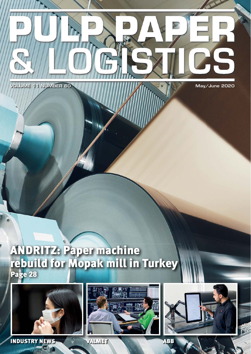

77

Page **28** ANDRITZ: Paper machine rebuild for Mopak mill in Turkey

 $\mathbf{h}$ 



INDUSTRY NEWS CONTINET **COLLEGE**